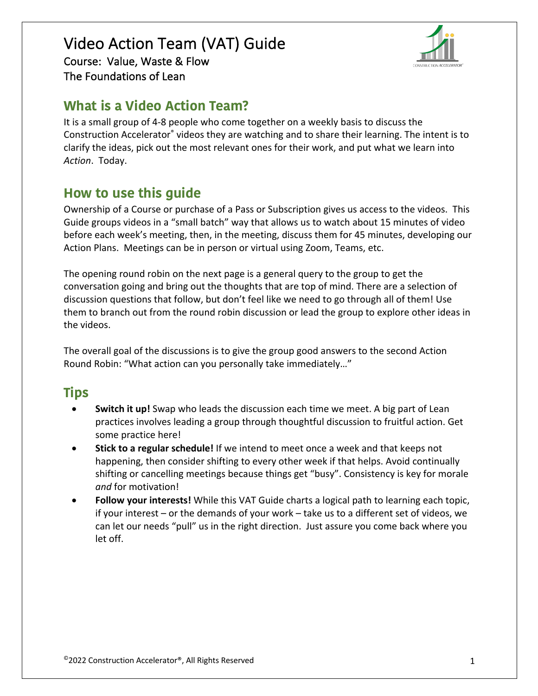## Video Action Team (VAT) Guide Course: Value, Waste & Flow The Foundations of Lean



# **What is a Video Action Team?**

It is a small group of 4-8 people who come together on a weekly basis to discuss the Construction Accelerator® videos they are watching and to share their learning. The intent is to clarify the ideas, pick out the most relevant ones for their work, and put what we learn into *Action*. Today.

# **How to use this guide**

Ownership of a Course or purchase of a Pass or Subscription gives us access to the videos. This Guide groups videos in a "small batch" way that allows us to watch about 15 minutes of video before each week's meeting, then, in the meeting, discuss them for 45 minutes, developing our Action Plans. Meetings can be in person or virtual using Zoom, Teams, etc.

The opening round robin on the next page is a general query to the group to get the conversation going and bring out the thoughts that are top of mind. There are a selection of discussion questions that follow, but don't feel like we need to go through all of them! Use them to branch out from the round robin discussion or lead the group to explore other ideas in the videos.

The overall goal of the discussions is to give the group good answers to the second Action Round Robin: "What action can you personally take immediately…"

# **Tips**

- **Switch it up!** Swap who leads the discussion each time we meet. A big part of Lean practices involves leading a group through thoughtful discussion to fruitful action. Get some practice here!
- **Stick to a regular schedule!** If we intend to meet once a week and that keeps not happening, then consider shifting to every other week if that helps. Avoid continually shifting or cancelling meetings because things get "busy". Consistency is key for morale *and* for motivation!
- **Follow your interests!** While this VAT Guide charts a logical path to learning each topic, if your interest – or the demands of your work – take us to a different set of videos, we can let our needs "pull" us in the right direction. Just assure you come back where you let off.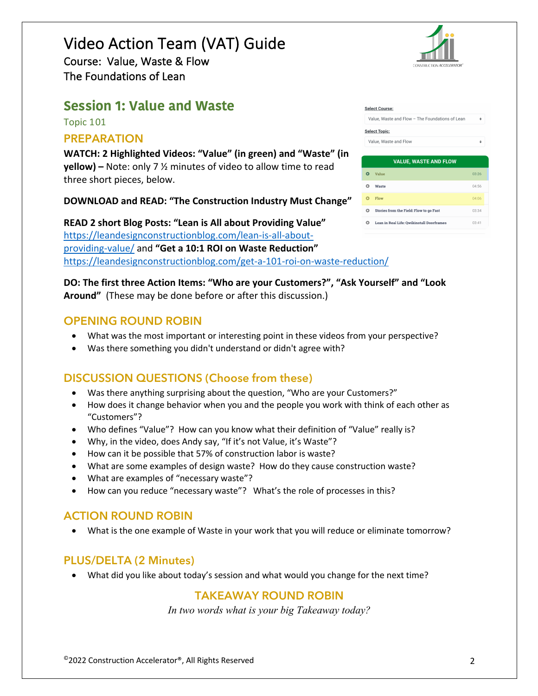# Video Action Team (VAT) Guide Course: Value, Waste & Flow

The Foundations of Lean

## **Session 1: Value and Waste**

Topic 101

#### **PREPARATION**

**WATCH: 2 Highlighted Videos: "Value" (in green) and "Waste" (in yellow) –** Note: only 7 ½ minutes of video to allow time to read three short pieces, below.

**DOWNLOAD and READ: "The Construction Industry Must Change"**

**READ 2 short Blog Posts: "Lean is All about Providing Value"**  https://leandesignconstructionblog.com/lean-is-all-aboutproviding-value/ and **"Get a 10:1 ROI on Waste Reduction"**  https://leandesignconstructionblog.com/get-a-101-roi-on-waste-reduction/

#### **DO: The first three Action Items: "Who are your Customers?", "Ask Yourself" and "Look Around"** (These may be done before or after this discussion.)

#### **OPENING ROUND ROBIN**

- What was the most important or interesting point in these videos from your perspective?
- Was there something you didn't understand or didn't agree with?

## **DISCUSSION QUESTIONS (Choose from these)**

- Was there anything surprising about the question, "Who are your Customers?"
- How does it change behavior when you and the people you work with think of each other as "Customers"?
- Who defines "Value"? How can you know what their definition of "Value" really is?
- Why, in the video, does Andy say, "If it's not Value, it's Waste"?
- How can it be possible that 57% of construction labor is waste?
- What are some examples of design waste? How do they cause construction waste?
- What are examples of "necessary waste"?
- How can you reduce "necessary waste"? What's the role of processes in this?

## **ACTION ROUND ROBIN**

• What is the one example of Waste in your work that you will reduce or eliminate tomorrow?

#### **PLUS/DELTA (2 Minutes)**

• What did you like about today's session and what would you change for the next time?

## **TAKEAWAY ROUND ROBIN**

*In two words what is your big Takeaway today?*



| <b>Select Course:</b>                           |  |
|-------------------------------------------------|--|
| Value. Waste and Flow - The Foundations of Lean |  |
| <b>Select Topic:</b>                            |  |
| Value Weste and Flow                            |  |

|   | <b>VALUE, WASTE AND FLOW</b>              |       |
|---|-------------------------------------------|-------|
|   | Value                                     | 03.26 |
| Ω | Waste                                     | 04:56 |
|   | Flow                                      | 04:06 |
| റ | Stories from the Field: Flow to go Fast   | 03:34 |
| o | Lean in Real Life: Owikinstall Doorframes | 03:41 |
|   |                                           |       |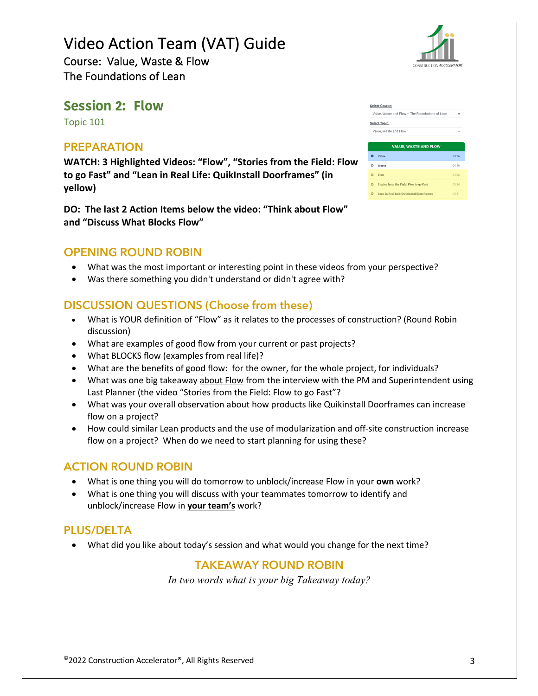# Video Action Team (VAT) Guide

Course: Value, Waste & Flow The Foundations of Lean

## **Session 2: Flow**

Topic 101

#### **PREPARATION**

**WATCH: 3 Highlighted Videos: "Flow", "Stories from the Field: Flow to go Fast" and "Lean in Real Life: QuikInstall Doorframes" (in yellow)**

**DO: The last 2 Action Items below the video: "Think about Flow" and "Discuss What Blocks Flow"**

#### **OPENING ROUND ROBIN**

- What was the most important or interesting point in these videos from your perspective?
- Was there something you didn't understand or didn't agree with?

#### **DISCUSSION QUESTIONS (Choose from these)**

- What is YOUR definition of "Flow" as it relates to the processes of construction? (Round Robin discussion)
- What are examples of good flow from your current or past projects?
- What BLOCKS flow (examples from real life)?
- What are the benefits of good flow: for the owner, for the whole project, for individuals?
- What was one big takeaway about Flow from the interview with the PM and Superintendent using Last Planner (the video "Stories from the Field: Flow to go Fast"?
- What was your overall observation about how products like Quikinstall Doorframes can increase flow on a project?
- How could similar Lean products and the use of modularization and off-site construction increase flow on a project? When do we need to start planning for using these?

#### **ACTION ROUND ROBIN**

- What is one thing you will do tomorrow to unblock/increase Flow in your **own** work?
- What is one thing you will discuss with your teammates tomorrow to identify and unblock/increase Flow in **your team's** work?

#### **PLUS/DELTA**

• What did you like about today's session and what would you change for the next time?

#### **TAKEAWAY ROUND ROBIN**

*In two words what is your big Takeaway today?*

|          | <b>Select Course:</b>                           |       |
|----------|-------------------------------------------------|-------|
|          | Value, Waste and Flow - The Foundations of Lean | ۰     |
|          | <b>Select Topic:</b>                            |       |
|          | Value, Waste and Flow                           | ٠     |
|          |                                                 |       |
|          | <b>VALUE, WASTE AND FLOW</b>                    |       |
| o        | Value                                           | 03:26 |
| o        | Waste                                           | 04:56 |
| $\Omega$ | Flow                                            | 04:06 |
|          |                                                 |       |
| $\Omega$ | Stories from the Field: Flow to go Fast         | 03:34 |